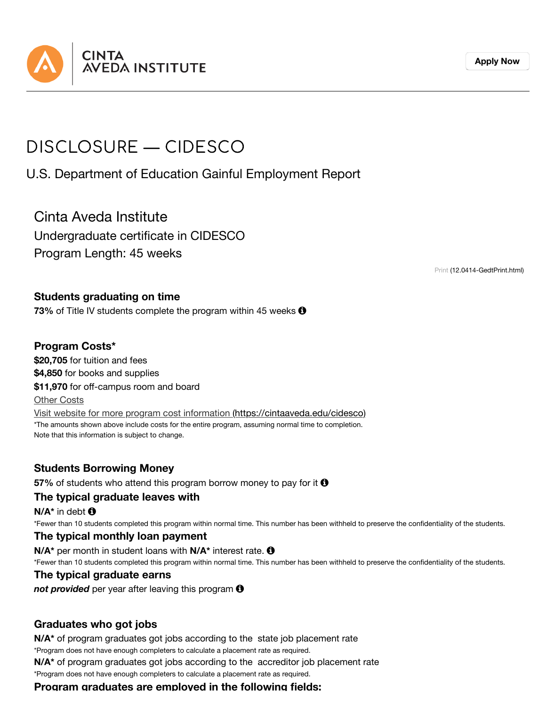

#### **[Apply](https://cintaaveda.edu/admission-application) Now**

# DISCLOSURE — CIDESCO

U.S. Department of Education Gainful Employment Report

Cinta Aveda Institute Undergraduate certificate in CIDESCO Program Length: 45 weeks

Print [\(12.0414-GedtPrint.html\)](https://cintaaveda.edu/disclosures-ge/cidesco/12.0414-GedtPrint.html)

#### **Students graduating on time**

**73%** of Title IV students complete the program within 45 weeks  $\Theta$ 

#### **Program Costs\***

**\$20,705** for tuition and fees **\$4,850** for books and supplies **\$11,970** for off-campus room and board Other Costs Visit website for more program cost information [\(https://cintaaveda.edu/cidesco\)](https://cintaaveda.edu/cidesco) \*The amounts shown above include costs for the entire program, assuming normal time to completion. Note that this information is subject to change.

### **Students Borrowing Money**

**57%** of students who attend this program borrow money to pay for it **0** 

#### **The typical graduate leaves with**

**N/A\*** in debt

\*Fewer than 10 students completed this program within normal time. This number has been withheld to preserve the confidentiality of the students.

#### **The typical monthly loan payment**

**N/A\*** per month in student loans with **N/A\*** interest rate. \*Fewer than 10 students completed this program within normal time. This number has been withheld to preserve the confidentiality of the students.

#### **The typical graduate earns**

*not provided* per year after leaving this program

### **Graduates who got jobs**

**N/A\*** of program graduates got jobs according to the state job placement rate

\*Program does not have enough completers to calculate a placement rate as required. **N/A\*** of program graduates got jobs according to the accreditor job placement rate

\*Program does not have enough completers to calculate a placement rate as required.

**Program graduates are employed in the following fields:**